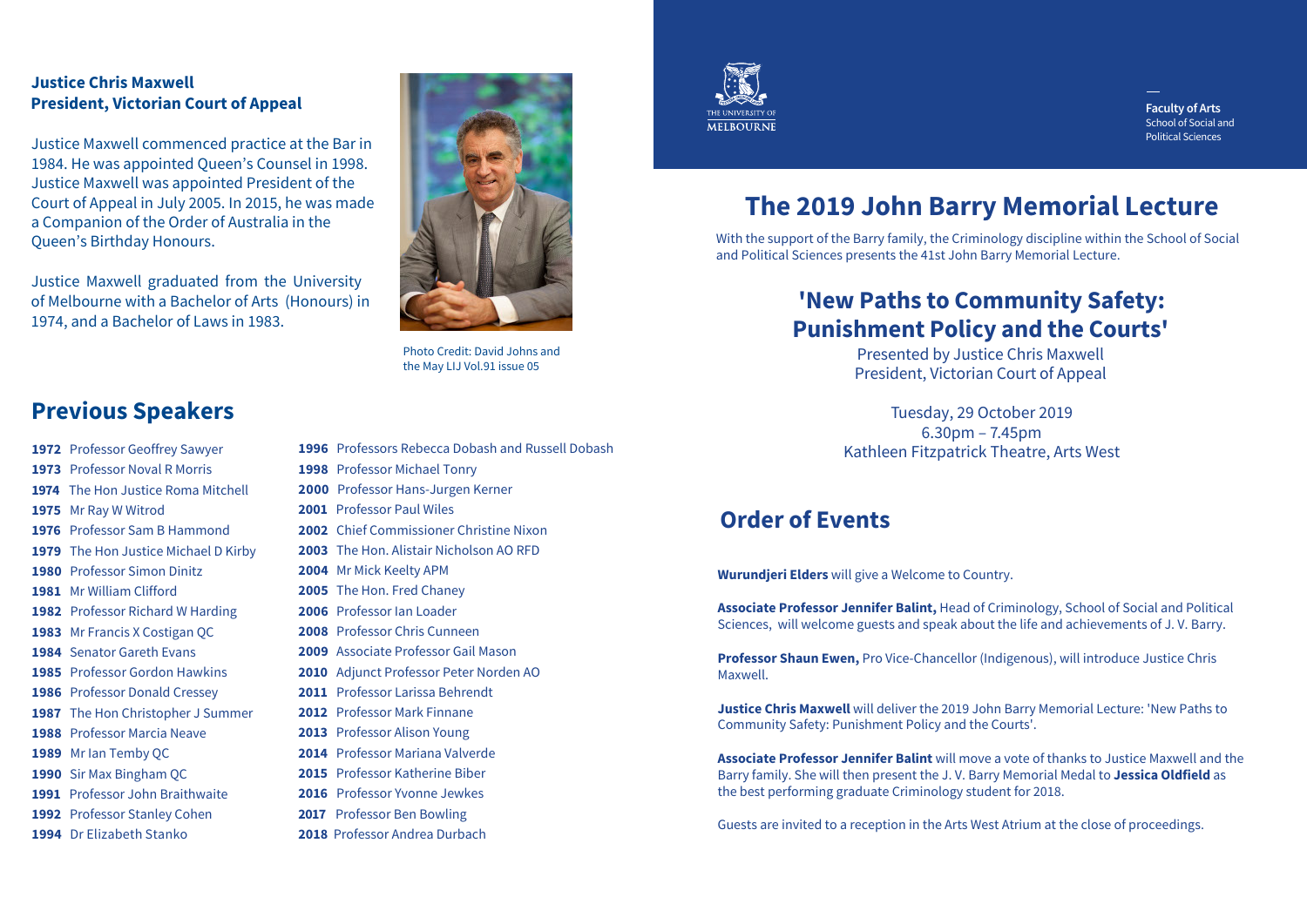### **Justice Chris Maxwell President, Victorian Court of Appeal**

Justice Maxwell commenced practice at the Bar in 1984. He was appointed Queen's Counsel in 1998. Justice Maxwell was appointed President of the Court of Appeal in July 2005. In 2015, he was made a Companion of the Order of Australia in the Queen's Birthday Honours.

Justice Maxwell graduated from the University of Melbourne with a Bachelor of Arts (Honours) in 1974, and a Bachelor of Laws in 1983.

Photo Credit: David Johns and the May LIJ Vol.91 issue 05

## **Previous Speakers**

- 1972 Professor Geoffrey Sawyer
- 1973 Professor Noval R Morris
- 1974 The Hon Justice Roma Mitchell
- 1975 Mr Ray W Witrod
- 1976 Professor Sam B Hammond
- 1979 The Hon Justice Michael D Kirby
- 1980 Professor Simon Dinitz
- 1981 Mr William Clifford
- 1982 Professor Richard W Harding
- 1983 Mr Francis X Costigan OC
- 1984 Senator Gareth Evans
- 1985 Professor Gordon Hawkins
- 1986 Professor Donald Cressey
- 1987 The Hon Christopher J Summer
- 1988 Professor Marcia Neave
- 1989 Mr Ian Temby QC
- 1990 Sir Max Bingham OC
- 1991 Professor John Braithwaite
- 1992 Professor Stanley Cohen
- 1994 Dr Elizabeth Stanko
- 1996 Professors Rebecca Dobash and Russell Dobash 1998 Professor Michael Tonry 2000 Professor Hans-Jurgen Kerner 2001 Professor Paul Wiles 2002 Chief Commissioner Christine Nixon 2003 The Hon, Alistair Nicholson AO RFD 2004 Mr Mick Keelty APM 2005 The Hon. Fred Chanev 2006 Professor Jan Loader 2008 Professor Chris Cunneen 2009 Associate Professor Gail Mason 2010 Adiunct Professor Peter Norden AO 2011 Professor Larissa Behrendt
- 2012 Professor Mark Finnane
- 2013 Professor Alison Young
- 2014 Professor Mariana Valverde
- 2015 Professor Katherine Biber
- 2016 Professor Yvonne Jewkes
- 2017 Professor Ben Bowling
- 2018 Professor Andrea Durbach



**Faculty of Arts** School of Social and **Political Sciences** 

# The 2019 John Barry Memorial Lecture

With the support of the Barry family, the Criminology discipline within the School of Social and Political Sciences presents the 41st John Barry Memorial Lecture.

### 'New Paths to Community Safety: **Punishment Policy and the Courts'**

**Presented by Justice Chris Maxwell** President, Victorian Court of Appeal

Tuesday, 29 October 2019  $6.30<sub>pm</sub> - 7.45<sub>pm</sub>$ Kathleen Fitzpatrick Theatre, Arts West

### Order of Events

Wurundjeri Elders will give a Welcome to Country.

Associate Professor Jennifer Balint, Head of Criminology, School of Social and Political Sciences, will welcome guests and speak about the life and achievements of J.V. Barry.

Professor Shaun Ewen, Pro Vice-Chancellor (Indigenous), will introduce Justice Chris **Maxwell** 

**Justice Chris Maxwell** will deliver the 2019 John Barry Memorial Lecture: 'New Paths to Community Safety: Punishment Policy and the Courts'.

**Associate Professor Jennifer Balint will move a vote of thanks to Justice Maxwell and the** Barry family. She will then present the J.V. Barry Memorial Medal to **Jessica Oldfield** as the best performing graduate Criminology student for 2018.

Guests are invited to a reception in the Arts West Atrium at the close of proceedings.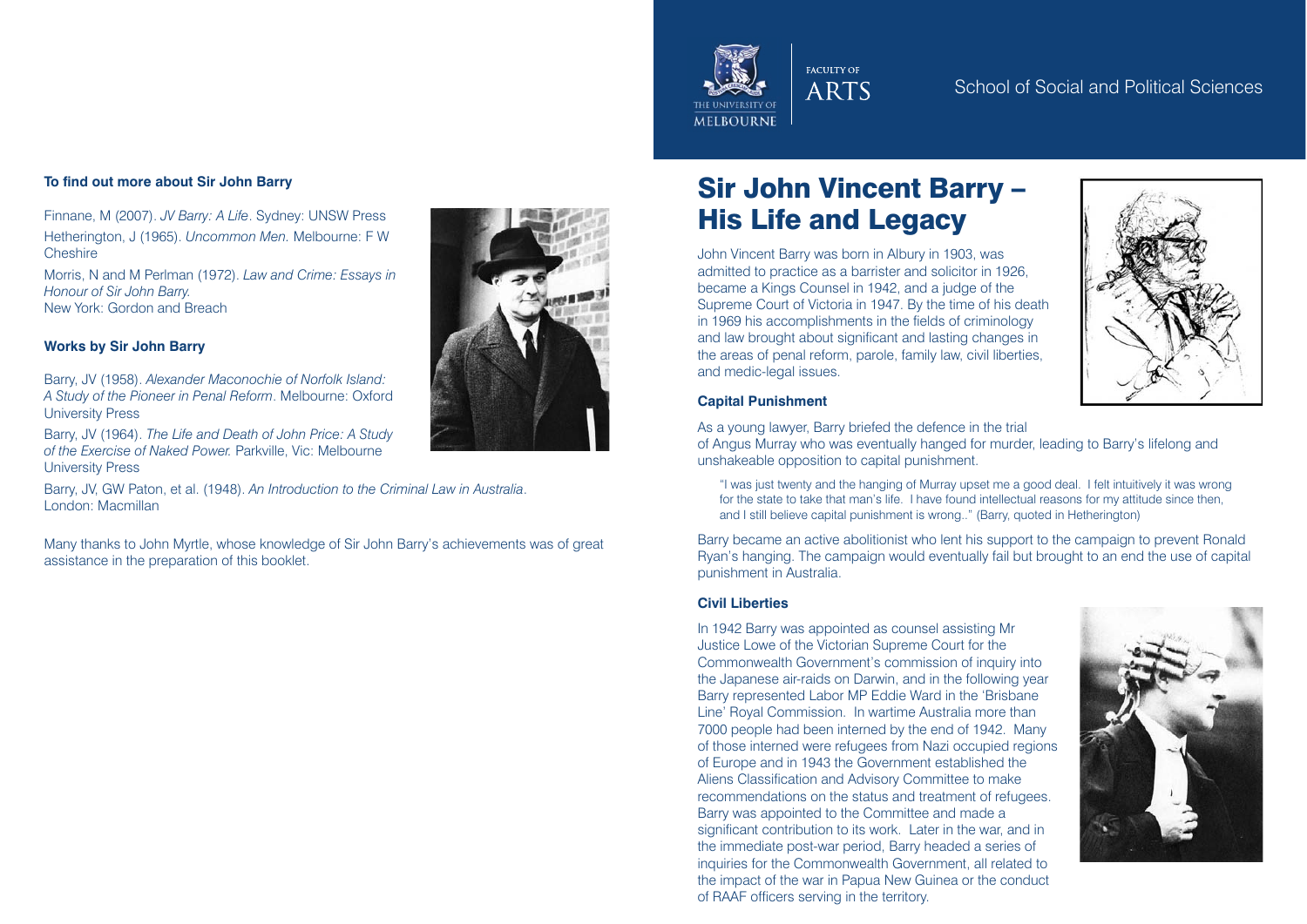

#### **To find out more about Sir John Barry**

Finnane, M (2007). *JV Barry: A Life*. Sydney: UNSW Press Hetherington, J (1965). *Uncommon Men.* Melbourne: F W Cheshire

Morris, N and M Perlman (1972). *Law and Crime: Essays in Honour of Sir John Barry.* New York: Gordon and Breach

#### **Works by Sir John Barry**

Barry, JV (1958). *Alexander Maconochie of Norfolk Island: A Study of the Pioneer in Penal Reform*. Melbourne: Oxford University Press

Barry, JV (1964). *The Life and Death of John Price: A Study of the Exercise of Naked Power.* Parkville, Vic: Melbourne University Press

Barry, JV, GW Paton, et al. (1948). *An Introduction to the Criminal Law in Australia*. London: Macmillan

Many thanks to John Myrtle, whose knowledge of Sir John Barry's achievements was of great assistance in the preparation of this booklet.

# Sir John Vincent Barry – His Life and Legacy

John Vincent Barry was born in Albury in 1903, was admitted to practice as a barrister and solicitor in 1926, became a Kings Counsel in 1942, and a judge of the Supreme Court of Victoria in 1947. By the time of his death in 1969 his accomplishments in the fields of criminology and law brought about significant and lasting changes in the areas of penal reform, parole, family law, civil liberties, and medic-legal issues.



#### **Capital Punishment**

As a young lawyer, Barry briefed the defence in the trial

of Angus Murray who was eventually hanged for murder, leading to Barry's lifelong and unshakeable opposition to capital punishment.

"I was just twenty and the hanging of Murray upset me a good deal. I felt intuitively it was wrong for the state to take that man's life. I have found intellectual reasons for my attitude since then, and I still believe capital punishment is wrong.." (Barry, quoted in Hetherington)

Barry became an active abolitionist who lent his support to the campaign to prevent Ronald Ryan's hanging. The campaign would eventually fail but brought to an end the use of capital punishment in Australia.

### **Civil Liberties**

In 1942 Barry was appointed as counsel assisting Mr Justice Lowe of the Victorian Supreme Court for the Commonwealth Government's commission of inquiry into the Japanese air-raids on Darwin, and in the following year Barry represented Labor MP Eddie Ward in the 'Brisbane Line' Royal Commission. In wartime Australia more than 7000 people had been interned by the end of 1942. Many of those interned were refugees from Nazi occupied regions of Europe and in 1943 the Government established the Aliens Classification and Advisory Committee to make recommendations on the status and treatment of refugees. Barry was appointed to the Committee and made a significant contribution to its work. Later in the war, and in the immediate post-war period, Barry headed a series of inquiries for the Commonwealth Government, all related to the impact of the war in Papua New Guinea or the conduct of RAAF officers serving in the territory.